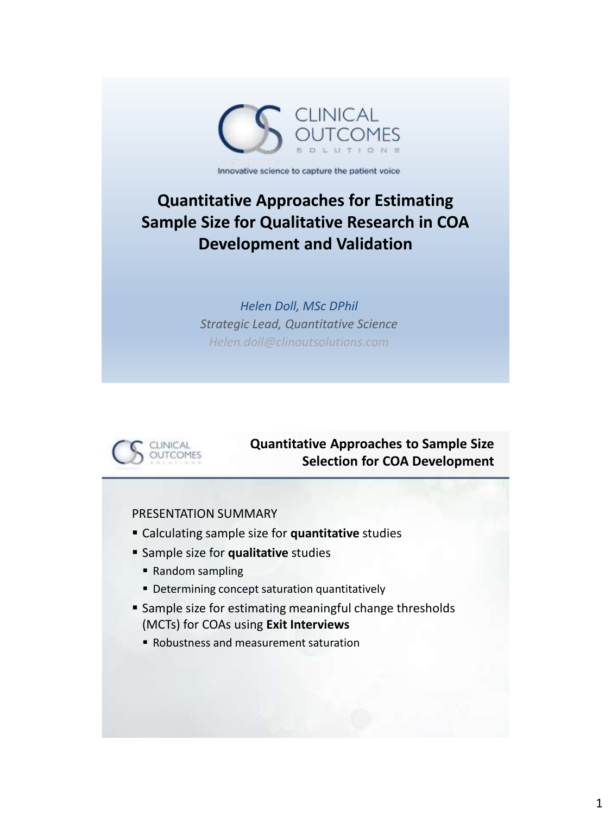

Innovative science to capture the patient voice

# **Quantitative Approaches for Estimating Sample Size for Qualitative Research in COA Development and Validation**

*Helen Doll, MSc DPhil Strategic Lead, Quantitative Science Helen.doll@clinoutsolutions.com*



# **Quantitative Approaches to Sample Size Selection for COA Development**

PRESENTATION SUMMARY

- Calculating sample size for **quantitative** studies
- **Sample size for qualitative studies** 
	- Random sampling
	- **Determining concept saturation quantitatively**
- **Sample size for estimating meaningful change thresholds** (MCTs) for COAs using **Exit Interviews**
	- Robustness and measurement saturation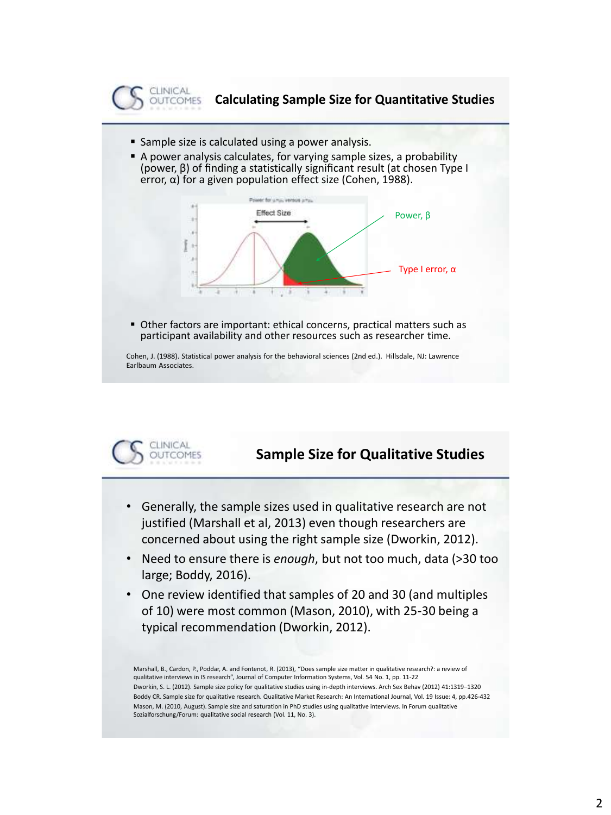

- **Sample size is calculated using a power analysis.**
- A power analysis calculates, for varying sample sizes, a probability (power, β) of finding a statistically significant result (at chosen Type I error, α) for a given population effect size (Cohen, 1988).



 Other factors are important: ethical concerns, practical matters such as participant availability and other resources such as researcher time.

Cohen, J. (1988). Statistical power analysis for the behavioral sciences (2nd ed.). Hillsdale, NJ: Lawrence Earlbaum Associates.



# **Sample Size for Qualitative Studies**

- Generally, the sample sizes used in qualitative research are not justified (Marshall et al, 2013) even though researchers are concerned about using the right sample size (Dworkin, 2012).
- Need to ensure there is *enough*, but not too much, data (>30 too large; Boddy, 2016).
- One review identified that samples of 20 and 30 (and multiples of 10) were most common (Mason, 2010), with 25-30 being a typical recommendation (Dworkin, 2012).

Marshall, B., Cardon, P., Poddar, A. and Fontenot, R. (2013), "Does sample size matter in qualitative research?: a review of qualitative interviews in IS research", Journal of Computer Information Systems, Vol. 54 No. 1, pp. 11-22 Dworkin, S. L. (2012). Sample size policy for qualitative studies using in-depth interviews. Arch Sex Behav (2012) 41:1319–1320 Boddy CR. Sample size for qualitative research. Qualitative Market Research: An International Journal, Vol. 19 Issue: 4, pp.426-432 Mason, M. (2010, August). Sample size and saturation in PhD studies using qualitative interviews. In Forum qualitative Sozialforschung/Forum: qualitative social research (Vol. 11, No. 3).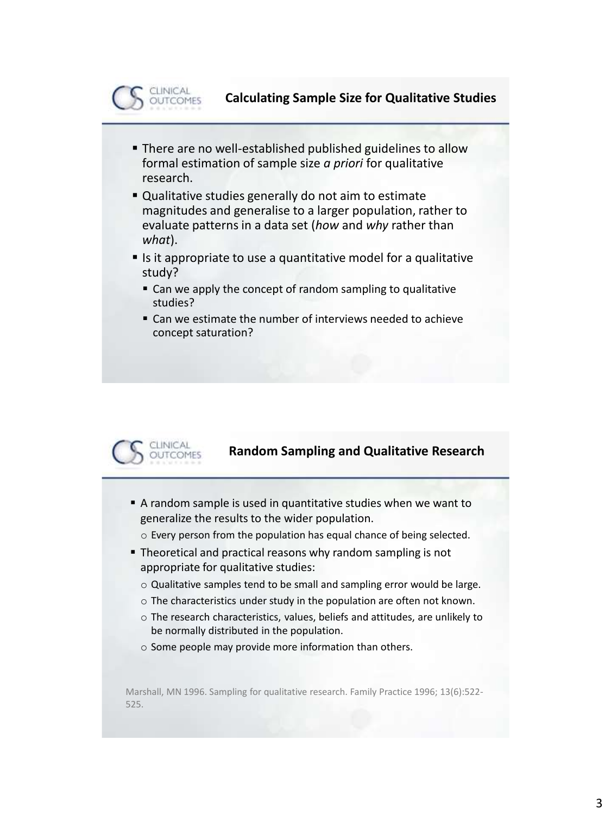

#### **Calculating Sample Size for Qualitative Studies**

- **There are no well-established published guidelines to allow** formal estimation of sample size *a priori* for qualitative research.
- Qualitative studies generally do not aim to estimate magnitudes and generalise to a larger population, rather to evaluate patterns in a data set (*how* and *why* rather than *what*).
- Is it appropriate to use a quantitative model for a qualitative study?
	- Can we apply the concept of random sampling to qualitative studies?
	- Can we estimate the number of interviews needed to achieve concept saturation?



#### **Random Sampling and Qualitative Research**

- A random sample is used in quantitative studies when we want to generalize the results to the wider population.
	- o Every person from the population has equal chance of being selected.
- **Theoretical and practical reasons why random sampling is not** appropriate for qualitative studies:
	- o Qualitative samples tend to be small and sampling error would be large.
	- o The characteristics under study in the population are often not known.
	- o The research characteristics, values, beliefs and attitudes, are unlikely to be normally distributed in the population.
	- o Some people may provide more information than others.

Marshall, MN 1996. Sampling for qualitative research. Family Practice 1996; 13(6):522- 525.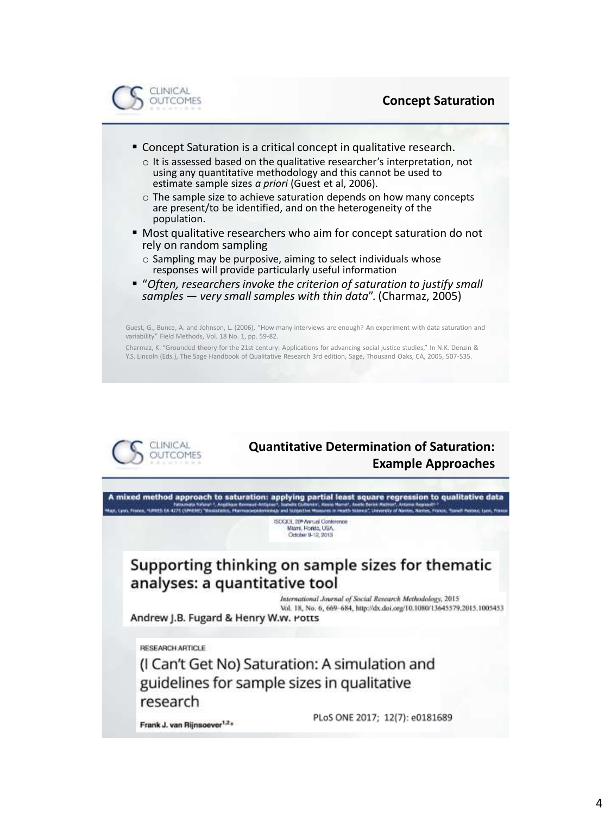

- **Concept Saturation is a critical concept in qualitative research.** 
	- o It is assessed based on the qualitative researcher's interpretation, not using any quantitative methodology and this cannot be used to estimate sample sizes *a priori* (Guest et al, 2006).
	- o The sample size to achieve saturation depends on how many concepts are present/to be identified, and on the heterogeneity of the population.
- Most qualitative researchers who aim for concept saturation do not rely on random sampling
	- o Sampling may be purposive, aiming to select individuals whose responses will provide particularly useful information
- "Often, researchers invoke the criterion of saturation to justify small *samples — very small samples with thin data*". (Charmaz, 2005)

Guest, G., Bunce, A. and Johnson, L. (2006), "How many interviews are enough? An experiment with data saturation and variability" Field Methods, Vol. 18 No. 1, pp. 59-82.

Charmaz, K. "Grounded theory for the 21st century: Applications for advancing social justice studies," In N.K. Denzin & Y.S. Lincoln (Eds.), The Sage Handbook of Qualitative Research 3rd edition, Sage, Thousand Oaks, CA, 2005, 507-535.



### **Quantitative Determination of Saturation: Example Approaches**

A mixed method approach to saturation: applying partial least square regression to qualitative data uert, Instelle Comervint, Alemid<br>Augy and Instellative Measures NE, Lyon, France, Hamps EA 4275 Cliff von int impared to this

> SOQOL 20<sup>6</sup> Annual Contetence Miami, Florida, USA October 8-12, 2013

# Supporting thinking on sample sizes for thematic analyses: a quantitative tool

International Journal of Social Research Methodology, 2015 Vol. 18, No. 6, 669-684, http://dx.doi.org/10.1080/13645579.2015.1005453

Andrew J.B. Fugard & Henry W.w. Potts

**RESEARCH ARTICLE** 

(I Can't Get No) Saturation: A simulation and guidelines for sample sizes in qualitative research

Frank J. van Rijnsoever<sup>1,2</sup>\*

PLoS ONE 2017; 12(7): e0181689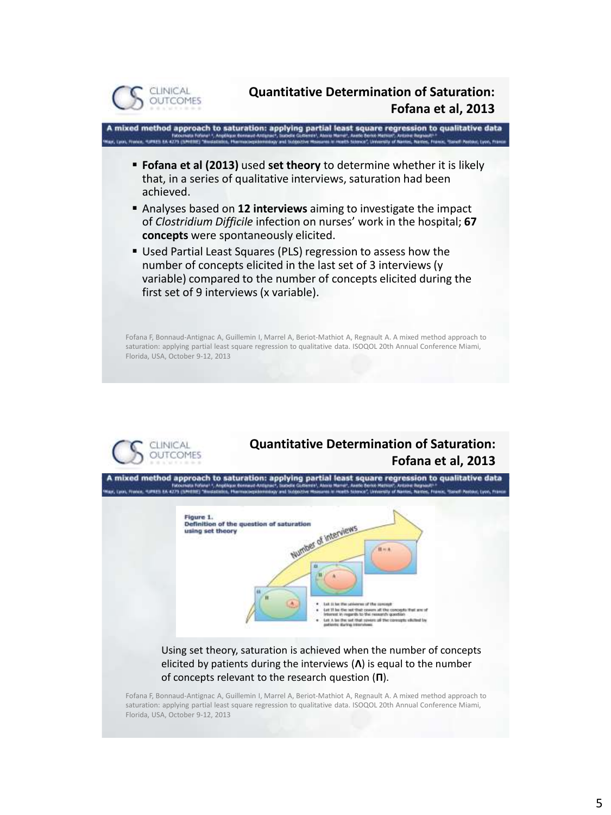

**Quantitative Determination of Saturation: Fofana et al, 2013**

A mixed method approach to saturation: applying partial least square regression to qualitative data Mauri, Lycin, Francis, Humanis exicating came

- **Fofana et al (2013)** used **set theory** to determine whether it is likely that, in a series of qualitative interviews, saturation had been achieved.
- Analyses based on **12 interviews** aiming to investigate the impact of *Clostridium Difficile* infection on nurses' work in the hospital; **67 concepts** were spontaneously elicited.
- Used Partial Least Squares (PLS) regression to assess how the number of concepts elicited in the last set of 3 interviews (y variable) compared to the number of concepts elicited during the first set of 9 interviews (x variable).

Fofana F, Bonnaud-Antignac A, Guillemin I, Marrel A, Beriot-Mathiot A, Regnault A. A mixed method approach to saturation: applying partial least square regression to qualitative data. ISOQOL 20th Annual Conference Miami, Florida, USA, October 9-12, 2013



# **Quantitative Determination of Saturation: Fofana et al, 2013**

A mixed method approach to saturation: applying partial least square regression to qualitative data C Cycle, Francis, Humani es 4279 (58



#### Using set theory, saturation is achieved when the number of concepts elicited by patients during the interviews (**Λ**) is equal to the number of concepts relevant to the research question (**Π**).

Fofana F, Bonnaud-Antignac A, Guillemin I, Marrel A, Beriot-Mathiot A, Regnault A. A mixed method approach to saturation: applying partial least square regression to qualitative data. ISOQOL 20th Annual Conference Miami, Florida, USA, October 9-12, 2013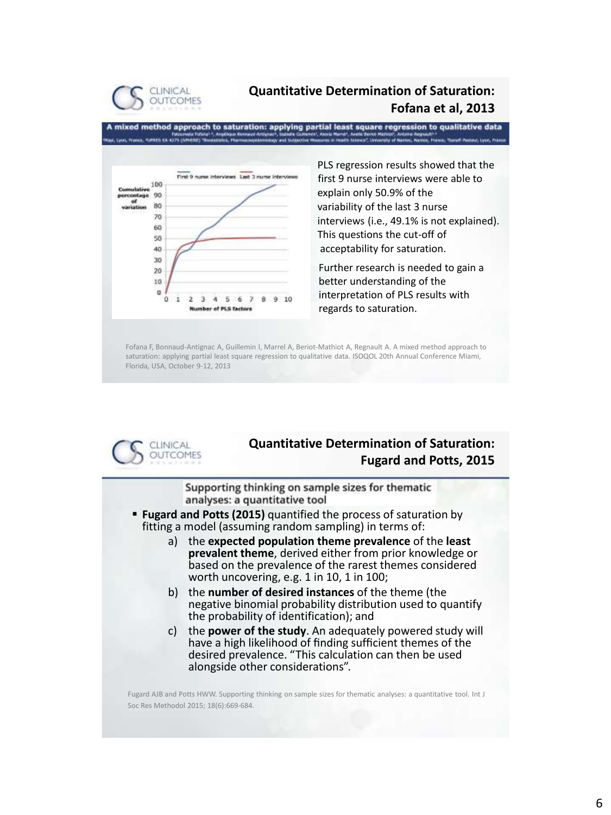

### **Quantitative Determination of Saturation: Fofana et al, 2013**

A mixed method approach to saturation: applying partial least square regression to qualitative data ently of Nantes, Names, France, IF, Lyon, France, Humani, KA 4279 (Smither) 784



PLS regression results showed that the first 9 nurse interviews were able to explain only 50.9% of the variability of the last 3 nurse interviews (i.e., 49.1% is not explained). This questions the cut-off of acceptability for saturation.

Further research is needed to gain a better understanding of the interpretation of PLS results with regards to saturation.

Fofana F, Bonnaud-Antignac A, Guillemin I, Marrel A, Beriot-Mathiot A, Regnault A. A mixed method approach to saturation: applying partial least square regression to qualitative data. ISOQOL 20th Annual Conference Miami, Florida, USA, October 9-12, 2013



### **Quantitative Determination of Saturation: Fugard and Potts, 2015**

Supporting thinking on sample sizes for thematic analyses: a quantitative tool

- **Fugard and Potts (2015)** quantified the process of saturation by fitting a model (assuming random sampling) in terms of:
	- a) the **expected population theme prevalence** of the **least prevalent theme**, derived either from prior knowledge or based on the prevalence of the rarest themes considered worth uncovering, e.g. 1 in 10, 1 in 100;
	- b) the **number of desired instances** of the theme (the negative binomial probability distribution used to quantify the probability of identification); and
	- c) the **power of the study**. An adequately powered study will have a high likelihood of finding sufficient themes of the desired prevalence. "This calculation can then be used alongside other considerations".

Fugard AJB and Potts HWW. Supporting thinking on sample sizes for thematic analyses: a quantitative tool. Int J Soc Res Methodol 2015; 18(6):669-684.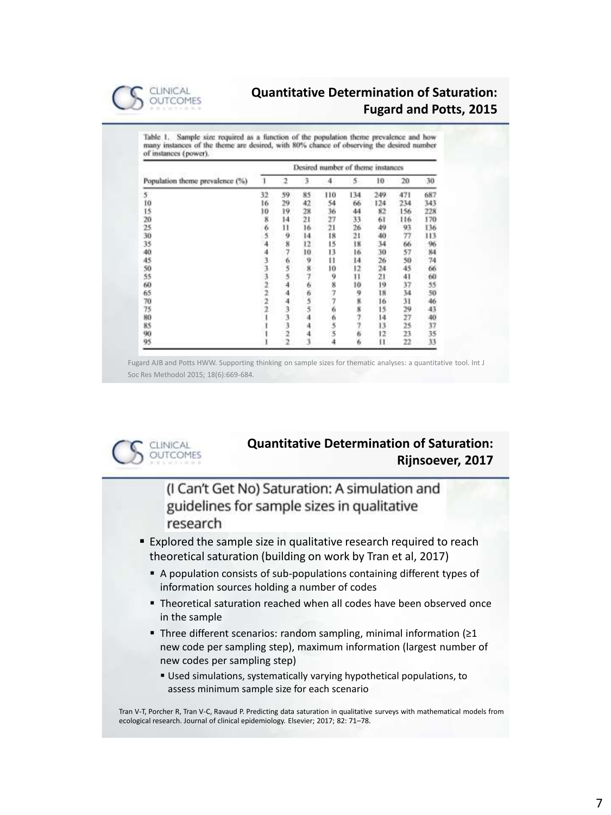

### **Quantitative Determination of Saturation: Fugard and Potts, 2015**

Table 1. Sample size required as a function of the population theme prevalence and how many instances of the theme are desired, with 80% chance of observing the desired number of instances (power).

| Population theme prevalence (%) | Desired number of theme instances |                         |         |      |                 |         |     |     |
|---------------------------------|-----------------------------------|-------------------------|---------|------|-----------------|---------|-----|-----|
|                                 |                                   | 2                       | 3       | 4    | 5               | 10      | 20  | 30  |
| 5                               | 32                                | 59                      | 85      | 110  | 134             | 249     | 471 | 687 |
| Ĩ0                              | 16                                | 29                      | 42      | 54   | 66              | 124     | 234 | 343 |
| 15                              | ю                                 | 19                      | 28      | 36   | 44              | 82      | 156 | 228 |
| 20                              | 8                                 | $^{14}$                 | $^{21}$ | 27   | 33              | 61      | 116 | 170 |
| 25                              |                                   | 11                      | 16      | 21   | 26              | 49      | 93  | 136 |
| 30                              | $6\overline{5}$                   | 9                       | 14      | 18   | 21              | 40      | 77  | 113 |
| 35                              |                                   | ä                       | 12      | 15   | 18              | 34      | 66  | 96  |
| 40                              |                                   | 7                       | 10      | 13   | 16              | 30      | 57  | 84  |
| 45                              |                                   | 6                       | 9       | u    | 14              | 26      | 50  | 74  |
| 50                              |                                   | 5                       | 8       | 10   | 12              | $^{24}$ | 45  | 66  |
| 55                              |                                   |                         |         |      |                 | 21      | 41  | 68  |
| 60                              |                                   |                         | 6       | 9877 | $\frac{11}{10}$ | 19      | 37  | 55  |
| 65                              |                                   |                         | 6       |      | 9               | 18      | 34  | 50  |
| 70                              | $\overline{2}$                    |                         | 5       |      | 8               | 16      | 31  | 46  |
| 75                              |                                   |                         | 5       | 6    | 8               | 15      | 29  | 43  |
| 80                              |                                   |                         |         |      |                 | 14      | 27  | 40  |
| 85                              |                                   | 3                       |         |      |                 | 13      | 25  | 37  |
| 90                              |                                   | $\overline{\mathbf{2}}$ |         | 655  | 6               | 12      | 23  | 35  |
| 95                              |                                   |                         |         |      | 6               | Ħ       | 22  | 33  |

Fugard AJB and Potts HWW. Supporting thinking on sample sizes for thematic analyses: a quantitative tool. Int J Soc Res Methodol 2015; 18(6):669-684.



### **Quantitative Determination of Saturation: Rijnsoever, 2017**

(I Can't Get No) Saturation: A simulation and guidelines for sample sizes in qualitative research

**Explored the sample size in qualitative research required to reach** theoretical saturation (building on work by Tran et al, 2017)

- A population consists of sub-populations containing different types of information sources holding a number of codes
- Theoretical saturation reached when all codes have been observed once in the sample
- Three different scenarios: random sampling, minimal information (≥1 new code per sampling step), maximum information (largest number of new codes per sampling step)
	- Used simulations, systematically varying hypothetical populations, to assess minimum sample size for each scenario

Tran V-T, Porcher R, Tran V-C, Ravaud P. Predicting data saturation in qualitative surveys with mathematical models from ecological research. Journal of clinical epidemiology. Elsevier; 2017; 82: 71–78.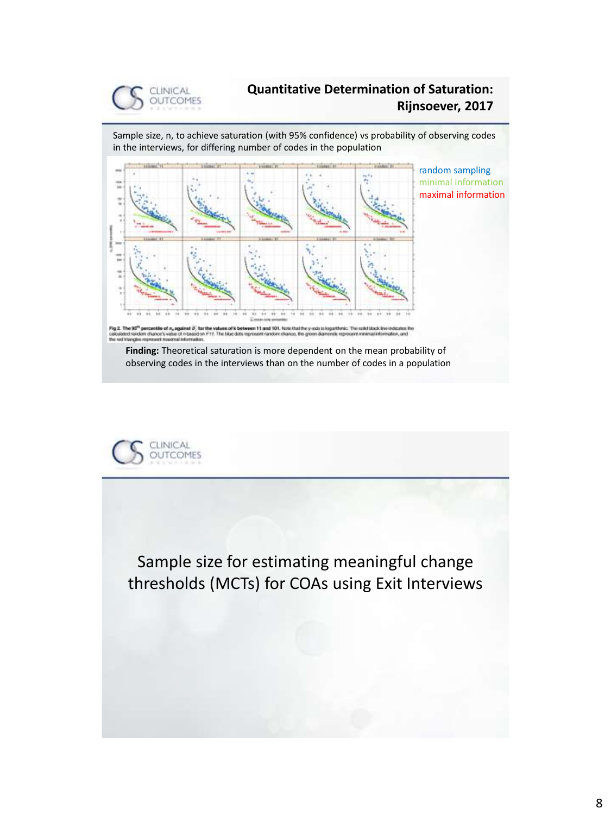

### **Quantitative Determination of Saturation: Rijnsoever, 2017**

Sample size, n, to achieve saturation (with 95% confidence) vs probability of observing codes in the interviews, for differing number of codes in the population



random sampling minimal information maximal information

Fig 2. The 95 percentes c<br>on chance's

**Finding:** Theoretical saturation is more dependent on the mean probability of observing codes in the interviews than on the number of codes in a population



Sample size for estimating meaningful change thresholds (MCTs) for COAs using Exit Interviews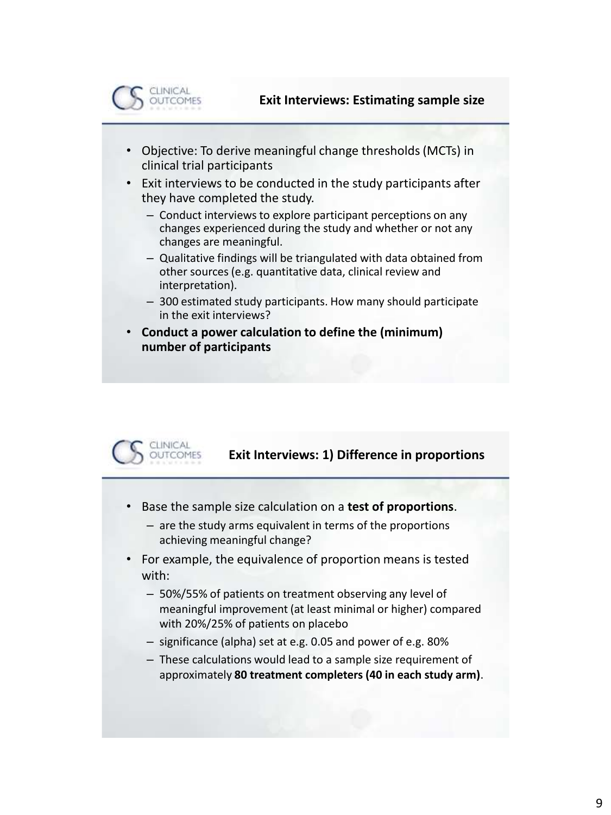

- Objective: To derive meaningful change thresholds (MCTs) in clinical trial participants
- Exit interviews to be conducted in the study participants after they have completed the study.
	- Conduct interviews to explore participant perceptions on any changes experienced during the study and whether or not any changes are meaningful.
	- Qualitative findings will be triangulated with data obtained from other sources (e.g. quantitative data, clinical review and interpretation).
	- 300 estimated study participants. How many should participate in the exit interviews?
- **Conduct a power calculation to define the (minimum) number of participants**



### **Exit Interviews: 1) Difference in proportions**

- Base the sample size calculation on a **test of proportions**.
	- are the study arms equivalent in terms of the proportions achieving meaningful change?
- For example, the equivalence of proportion means is tested with:
	- 50%/55% of patients on treatment observing any level of meaningful improvement (at least minimal or higher) compared with 20%/25% of patients on placebo
	- significance (alpha) set at e.g. 0.05 and power of e.g. 80%
	- These calculations would lead to a sample size requirement of approximately **80 treatment completers (40 in each study arm)**.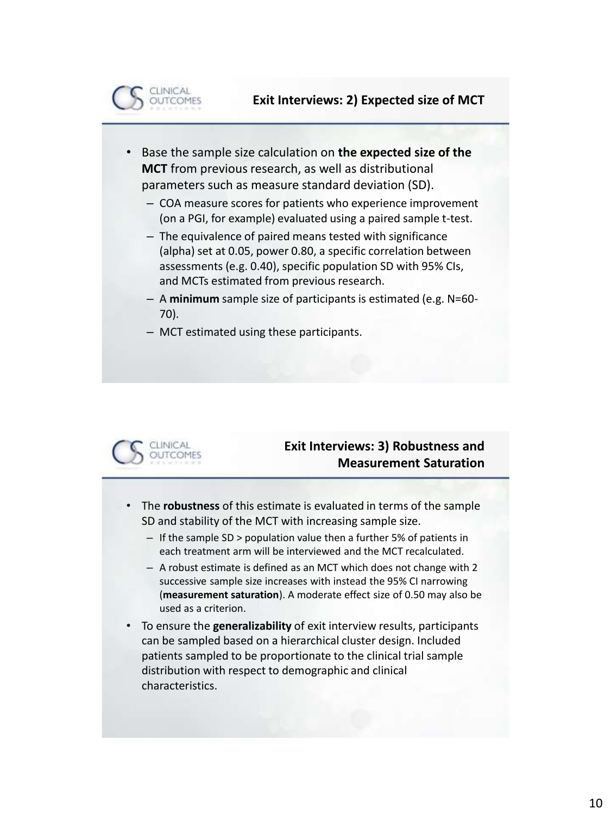

- Base the sample size calculation on **the expected size of the MCT** from previous research, as well as distributional parameters such as measure standard deviation (SD).
	- COA measure scores for patients who experience improvement (on a PGI, for example) evaluated using a paired sample t-test.
	- The equivalence of paired means tested with significance (alpha) set at 0.05, power 0.80, a specific correlation between assessments (e.g. 0.40), specific population SD with 95% CIs, and MCTs estimated from previous research.
	- A **minimum** sample size of participants is estimated (e.g. N=60- 70).
	- MCT estimated using these participants.



# **Exit Interviews: 3) Robustness and Measurement Saturation**

- The **robustness** of this estimate is evaluated in terms of the sample SD and stability of the MCT with increasing sample size.
	- If the sample SD > population value then a further 5% of patients in each treatment arm will be interviewed and the MCT recalculated.
	- A robust estimate is defined as an MCT which does not change with 2 successive sample size increases with instead the 95% CI narrowing (**measurement saturation**). A moderate effect size of 0.50 may also be used as a criterion.
- To ensure the **generalizability** of exit interview results, participants can be sampled based on a hierarchical cluster design. Included patients sampled to be proportionate to the clinical trial sample distribution with respect to demographic and clinical characteristics.